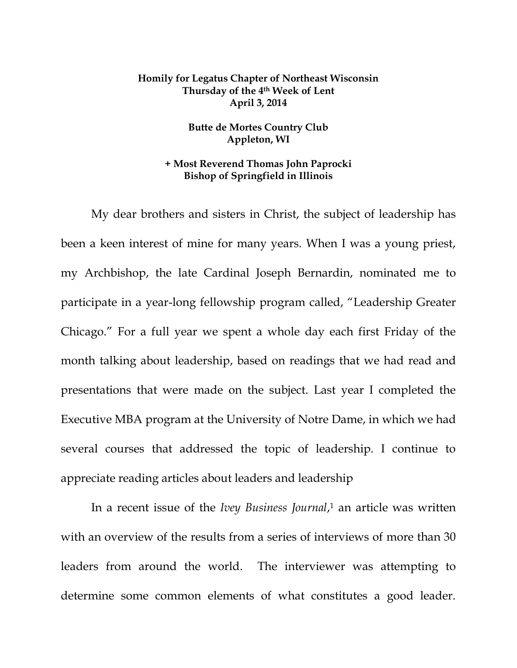## **Homily for Legatus Chapter of Northeast Wisconsin Thursday of the 4th Week of Lent April 3, 2014**

## **Butte de Mortes Country Club Appleton, WI**

## **+ Most Reverend Thomas John Paprocki Bishop of Springfield in Illinois**

My dear brothers and sisters in Christ, the subject of leadership has been a keen interest of mine for many years. When I was a young priest, my Archbishop, the late Cardinal Joseph Bernardin, nominated me to participate in a year-long fellowship program called, "Leadership Greater Chicago." For a full year we spent a whole day each first Friday of the month talking about leadership, based on readings that we had read and presentations that were made on the subject. Last year I completed the Executive MBA program at the University of Notre Dame, in which we had several courses that addressed the topic of leadership. I continue to appreciate reading articles about leaders and leadership

In a recent issue of the *Ivey Business Journal*, <sup>1</sup> an article was written with an overview of the results from a series of interviews of more than 30 leaders from around the world. The interviewer was attempting to determine some common elements of what constitutes a good leader.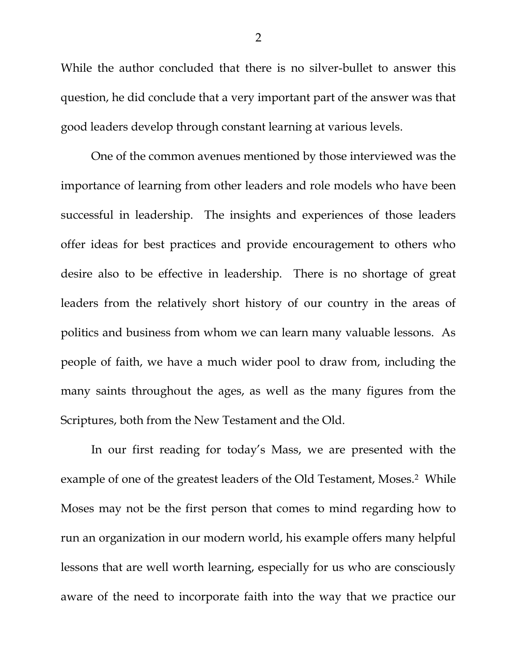While the author concluded that there is no silver-bullet to answer this question, he did conclude that a very important part of the answer was that good leaders develop through constant learning at various levels.

One of the common avenues mentioned by those interviewed was the importance of learning from other leaders and role models who have been successful in leadership. The insights and experiences of those leaders offer ideas for best practices and provide encouragement to others who desire also to be effective in leadership. There is no shortage of great leaders from the relatively short history of our country in the areas of politics and business from whom we can learn many valuable lessons. As people of faith, we have a much wider pool to draw from, including the many saints throughout the ages, as well as the many figures from the Scriptures, both from the New Testament and the Old.

In our first reading for today's Mass, we are presented with the example of one of the greatest leaders of the Old Testament, Moses.<sup>2</sup> While Moses may not be the first person that comes to mind regarding how to run an organization in our modern world, his example offers many helpful lessons that are well worth learning, especially for us who are consciously aware of the need to incorporate faith into the way that we practice our

2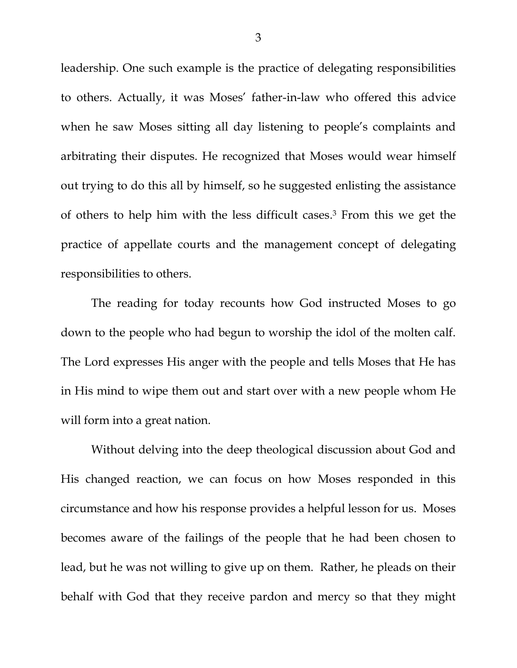leadership. One such example is the practice of delegating responsibilities to others. Actually, it was Moses' father-in-law who offered this advice when he saw Moses sitting all day listening to people's complaints and arbitrating their disputes. He recognized that Moses would wear himself out trying to do this all by himself, so he suggested enlisting the assistance of others to help him with the less difficult cases. <sup>3</sup> From this we get the practice of appellate courts and the management concept of delegating responsibilities to others.

The reading for today recounts how God instructed Moses to go down to the people who had begun to worship the idol of the molten calf. The Lord expresses His anger with the people and tells Moses that He has in His mind to wipe them out and start over with a new people whom He will form into a great nation.

Without delving into the deep theological discussion about God and His changed reaction, we can focus on how Moses responded in this circumstance and how his response provides a helpful lesson for us. Moses becomes aware of the failings of the people that he had been chosen to lead, but he was not willing to give up on them. Rather, he pleads on their behalf with God that they receive pardon and mercy so that they might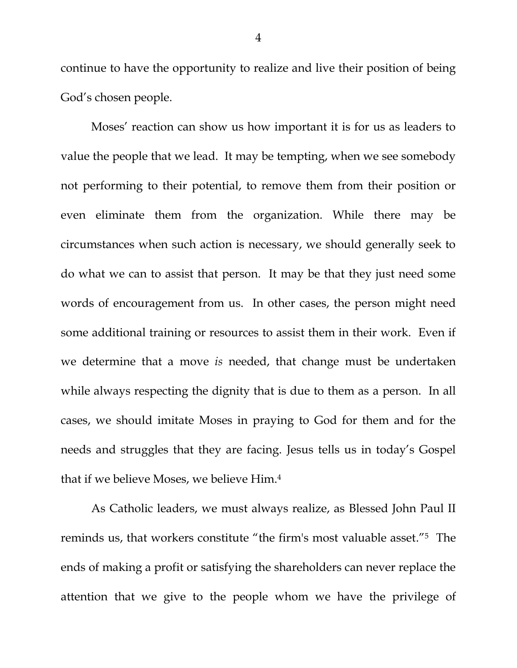continue to have the opportunity to realize and live their position of being God's chosen people.

Moses' reaction can show us how important it is for us as leaders to value the people that we lead. It may be tempting, when we see somebody not performing to their potential, to remove them from their position or even eliminate them from the organization. While there may be circumstances when such action is necessary, we should generally seek to do what we can to assist that person. It may be that they just need some words of encouragement from us. In other cases, the person might need some additional training or resources to assist them in their work. Even if we determine that a move *is* needed, that change must be undertaken while always respecting the dignity that is due to them as a person. In all cases, we should imitate Moses in praying to God for them and for the needs and struggles that they are facing. Jesus tells us in today's Gospel that if we believe Moses, we believe Him.<sup>4</sup>

As Catholic leaders, we must always realize, as Blessed John Paul II reminds us, that workers constitute "the firm's most valuable asset."<sup>5</sup> The ends of making a profit or satisfying the shareholders can never replace the attention that we give to the people whom we have the privilege of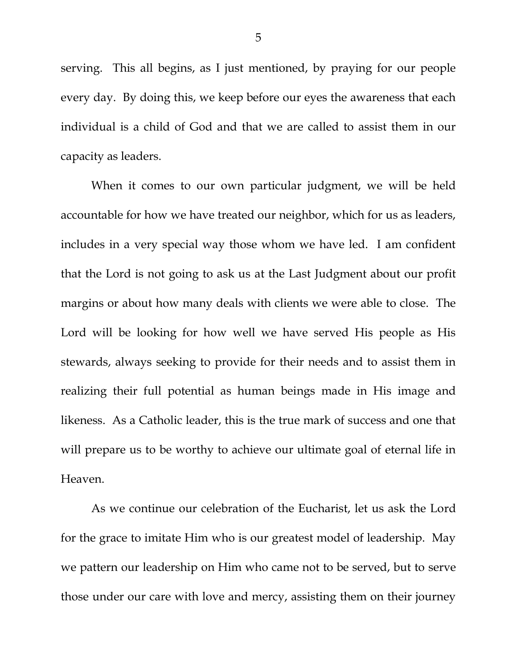serving. This all begins, as I just mentioned, by praying for our people every day. By doing this, we keep before our eyes the awareness that each individual is a child of God and that we are called to assist them in our capacity as leaders.

When it comes to our own particular judgment, we will be held accountable for how we have treated our neighbor, which for us as leaders, includes in a very special way those whom we have led. I am confident that the Lord is not going to ask us at the Last Judgment about our profit margins or about how many deals with clients we were able to close. The Lord will be looking for how well we have served His people as His stewards, always seeking to provide for their needs and to assist them in realizing their full potential as human beings made in His image and likeness. As a Catholic leader, this is the true mark of success and one that will prepare us to be worthy to achieve our ultimate goal of eternal life in Heaven.

As we continue our celebration of the Eucharist, let us ask the Lord for the grace to imitate Him who is our greatest model of leadership. May we pattern our leadership on Him who came not to be served, but to serve those under our care with love and mercy, assisting them on their journey